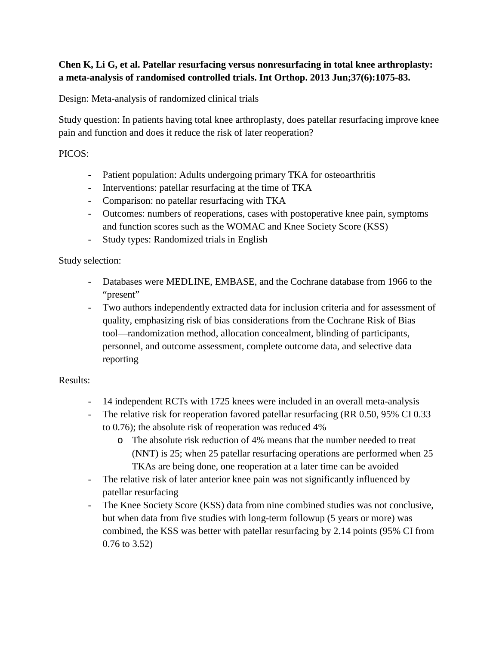# **Chen K, Li G, et al. Patellar resurfacing versus nonresurfacing in total knee arthroplasty: a meta-analysis of randomised controlled trials. Int Orthop. 2013 Jun;37(6):1075-83.**

Design: Meta-analysis of randomized clinical trials

Study question: In patients having total knee arthroplasty, does patellar resurfacing improve knee pain and function and does it reduce the risk of later reoperation?

## PICOS:

- Patient population: Adults undergoing primary TKA for osteoarthritis
- Interventions: patellar resurfacing at the time of TKA
- Comparison: no patellar resurfacing with TKA
- Outcomes: numbers of reoperations, cases with postoperative knee pain, symptoms and function scores such as the WOMAC and Knee Society Score (KSS)
- Study types: Randomized trials in English

## Study selection:

- Databases were MEDLINE, EMBASE, and the Cochrane database from 1966 to the "present"
- Two authors independently extracted data for inclusion criteria and for assessment of quality, emphasizing risk of bias considerations from the Cochrane Risk of Bias tool—randomization method, allocation concealment, blinding of participants, personnel, and outcome assessment, complete outcome data, and selective data reporting

### Results:

- 14 independent RCTs with 1725 knees were included in an overall meta-analysis
- The relative risk for reoperation favored patellar resurfacing (RR 0.50, 95% CI 0.33 to 0.76); the absolute risk of reoperation was reduced 4%
	- o The absolute risk reduction of 4% means that the number needed to treat (NNT) is 25; when 25 patellar resurfacing operations are performed when 25 TKAs are being done, one reoperation at a later time can be avoided
- The relative risk of later anterior knee pain was not significantly influenced by patellar resurfacing
- The Knee Society Score (KSS) data from nine combined studies was not conclusive, but when data from five studies with long-term followup (5 years or more) was combined, the KSS was better with patellar resurfacing by 2.14 points (95% CI from 0.76 to 3.52)